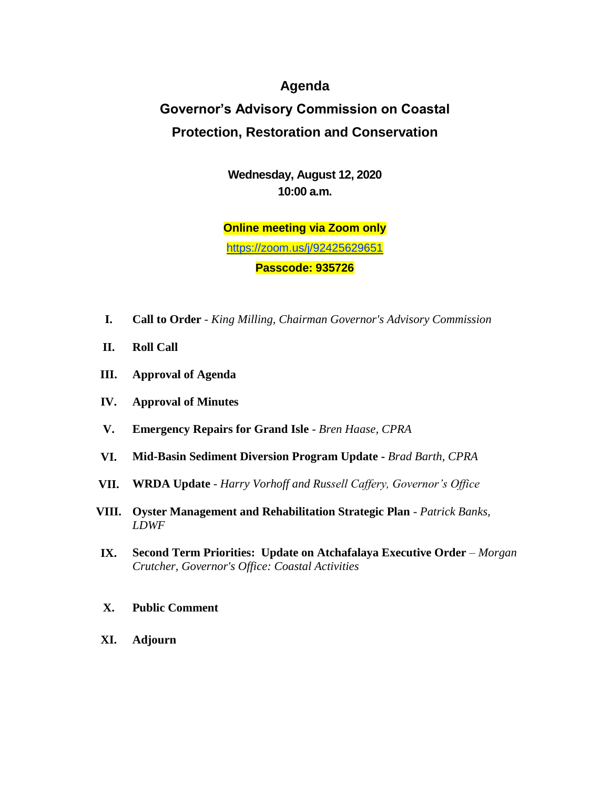## **Agenda**

## **Governor's Advisory Commission on Coastal Protection, Restoration and Conservation**

**Wednesday, August 12, 2020 10:00 a.m.**

**Online meeting via Zoom only** <https://zoom.us/j/92425629651> **Passcode: 935726**

- **I. Call to Order**  *King Milling, Chairman Governor's Advisory Commission*
- **II. Roll Call**
- **III. Approval of Agenda**
- **IV. Approval of Minutes**
- **V. Emergency Repairs for Grand Isle** *Bren Haase, CPRA*
- **VI. Mid-Basin Sediment Diversion Program Update -** *Brad Barth, CPRA*
- **VII. WRDA Update**  *Harry Vorhoff and Russell Caffery, Governor's Office*
- **VIII. Oyster Management and Rehabilitation Strategic Plan**  *Patrick Banks, LDWF*
- **IX. Second Term Priorities: Update on Atchafalaya Executive Order** *Morgan Crutcher, Governor's Office: Coastal Activities*
- **X. Public Comment**
- **XI. Adjourn**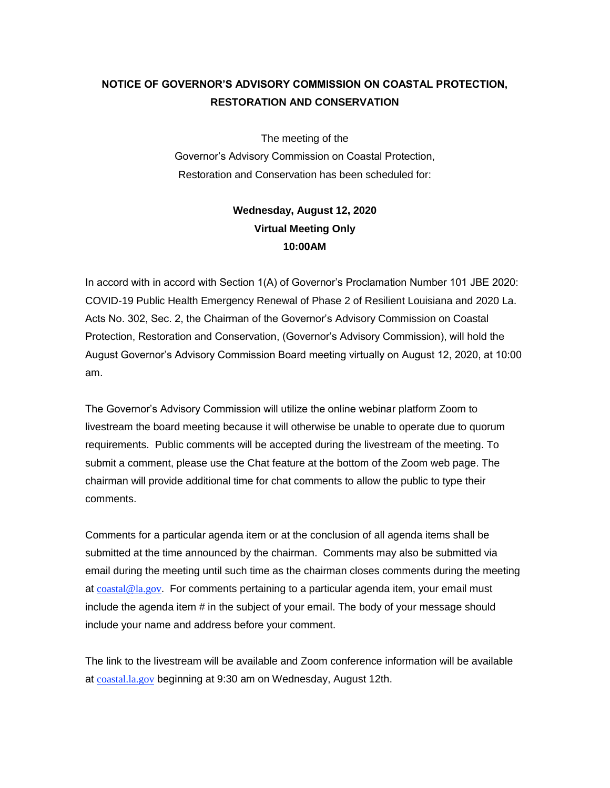## **NOTICE OF GOVERNOR'S ADVISORY COMMISSION ON COASTAL PROTECTION, RESTORATION AND CONSERVATION**

The meeting of the

Governor's Advisory Commission on Coastal Protection, Restoration and Conservation has been scheduled for:

## **Wednesday, August 12, 2020 Virtual Meeting Only 10:00AM**

In accord with in accord with Section 1(A) of Governor's Proclamation Number 101 JBE 2020: COVID-19 Public Health Emergency Renewal of Phase 2 of Resilient Louisiana and 2020 La. Acts No. 302, Sec. 2, the Chairman of the Governor's Advisory Commission on Coastal Protection, Restoration and Conservation, (Governor's Advisory Commission), will hold the August Governor's Advisory Commission Board meeting virtually on August 12, 2020, at 10:00 am.

The Governor's Advisory Commission will utilize the online webinar platform Zoom to livestream the board meeting because it will otherwise be unable to operate due to quorum requirements. Public comments will be accepted during the livestream of the meeting. To submit a comment, please use the Chat feature at the bottom of the Zoom web page. The chairman will provide additional time for chat comments to allow the public to type their comments.

Comments for a particular agenda item or at the conclusion of all agenda items shall be submitted at the time announced by the chairman. Comments may also be submitted via email during the meeting until such time as the chairman closes comments during the meeting at  $\frac{\text{coastal} @ \text{la.gov}}{\text{Cov}}$ . For comments pertaining to a particular agenda item, your email must include the agenda item # in the subject of your email. The body of your message should include your name and address before your comment.

The link to the livestream will be available and Zoom conference information will be available at [coastal.la.gov](mailto:coastal@la.gov) beginning at 9:30 am on Wednesday, August 12th.